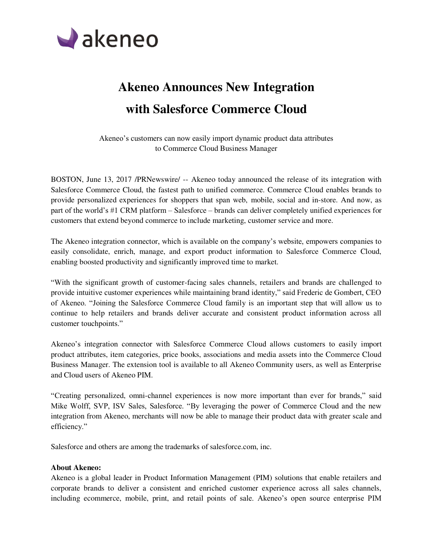

## **Akeneo Announces New Integration with Salesforce Commerce Cloud**

Akeneo's customers can now easily import dynamic product data attributes to Commerce Cloud Business Manager

BOSTON, June 13, 2017 /PRNewswire/ -- Akeneo today announced the release of its integration with Salesforce Commerce Cloud, the fastest path to unified commerce. Commerce Cloud enables brands to provide personalized experiences for shoppers that span web, mobile, social and in-store. And now, as part of the world's #1 CRM platform – Salesforce – brands can deliver completely unified experiences for customers that extend beyond commerce to include marketing, customer service and more.

The Akeneo integration connector, which is available on the company's website, empowers companies to easily consolidate, enrich, manage, and export product information to Salesforce Commerce Cloud, enabling boosted productivity and significantly improved time to market.

"With the significant growth of customer-facing sales channels, retailers and brands are challenged to provide intuitive customer experiences while maintaining brand identity," said Frederic de Gombert, CEO of Akeneo. "Joining the Salesforce Commerce Cloud family is an important step that will allow us to continue to help retailers and brands deliver accurate and consistent product information across all customer touchpoints."

Akeneo's integration connector with Salesforce Commerce Cloud allows customers to easily import product attributes, item categories, price books, associations and media assets into the Commerce Cloud Business Manager. The extension tool is available to all Akeneo Community users, as well as Enterprise and Cloud users of Akeneo PIM.

"Creating personalized, omni-channel experiences is now more important than ever for brands," said Mike Wolff, SVP, ISV Sales, Salesforce. "By leveraging the power of Commerce Cloud and the new integration from Akeneo, merchants will now be able to manage their product data with greater scale and efficiency."

Salesforce and others are among the trademarks of salesforce.com, inc.

## **About Akeneo:**

Akeneo is a global leader in Product Information Management (PIM) solutions that enable retailers and corporate brands to deliver a consistent and enriched customer experience across all sales channels, including ecommerce, mobile, print, and retail points of sale. Akeneo's open source enterprise PIM